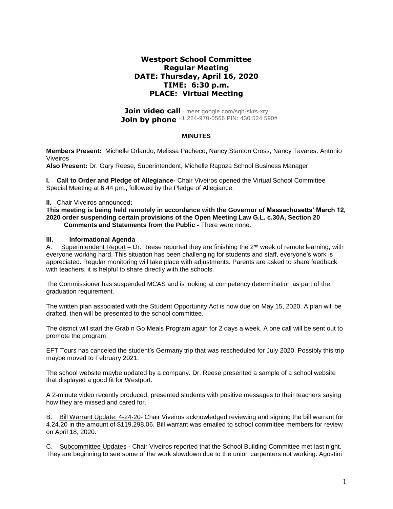# **Westport School Committee Regular Meeting DATE: Thursday, April 16, 2020 TIME: 6:30 p.m. PLACE: Virtual Meeting**

**Join video call** - meet.google.com/sqh-skrs-xry **Join by phone** +1 224-970-0566 PIN: 430 524 590#

#### **MINUTES**

**Members Present:** Michelle Orlando, Melissa Pacheco, Nancy Stanton Cross, Nancy Tavares*,* Antonio Viveiros

**Also Present:** Dr. Gary Reese, Superintendent, Michelle Rapoza School Business Manager

**I. Call to Order and Pledge of Allegiance-** Chair Viveiros opened the Virtual School Committee Special Meeting at 6:44 pm., followed by the Pledge of Allegiance.

#### **II.** Chair Viveiros announced**:**

**This meeting is being held remotely in accordance with the Governor of Massachusetts' March 12, 2020 order suspending certain provisions of the Open Meeting Law G.L. c.30A, Section 20 Comments and Statements from the Public -** There were none.

#### **III. Informational Agenda**

A. Superintendent Report – Dr. Reese reported they are finishing the 2<sup>nd</sup> week of remote learning, with everyone working hard. This situation has been challenging for students and staff, everyone's work is appreciated. Regular monitoring will take place with adjustments. Parents are asked to share feedback with teachers, it is helpful to share directly with the schools.

The Commissioner has suspended MCAS and is looking at competency determination as part of the graduation requirement.

The written plan associated with the Student Opportunity Act is now due on May 15, 2020. A plan will be drafted, then will be presented to the school committee.

The district will start the Grab n Go Meals Program again for 2 days a week. A one call will be sent out to promote the program.

EFT Tours has canceled the student's Germany trip that was rescheduled for July 2020. Possibly this trip maybe moved to February 2021.

The school website maybe updated by a company. Dr. Reese presented a sample of a school website that displayed a good fit for Westport.

A 2-minute video recently produced, presented students with positive messages to their teachers saying how they are missed and cared for.

B. Bill Warrant Update: 4-24-20- Chair Viveiros acknowledged reviewing and signing the bill warrant for 4.24.20 in the amount of \$119,298.06. Bill warrant was emailed to school committee members for review on April 18, 2020.

C. Subcommittee Updates - Chair Viveiros reported that the School Building Committee met last night. They are beginning to see some of the work slowdown due to the union carpenters not working. Agostini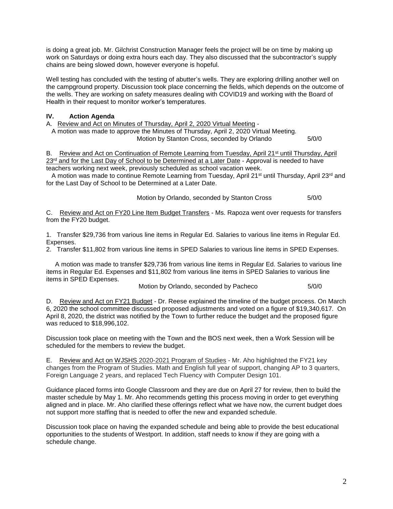is doing a great job. Mr. Gilchrist Construction Manager feels the project will be on time by making up work on Saturdays or doing extra hours each day. They also discussed that the subcontractor's supply chains are being slowed down, however everyone is hopeful.

Well testing has concluded with the testing of abutter's wells. They are exploring drilling another well on the campground property. Discussion took place concerning the fields, which depends on the outcome of the wells. They are working on safety measures dealing with COVID19 and working with the Board of Health in their request to monitor worker's temperatures.

## **IV. Action Agenda**

A. Review and Act on Minutes of Thursday, April 2, 2020 Virtual Meeting -

 A motion was made to approve the Minutes of Thursday, April 2, 2020 Virtual Meeting. Motion by Stanton Cross, seconded by Orlando 5/0/0

B. Review and Act on Continuation of Remote Learning from Tuesday, April 21<sup>st</sup> until Thursday, April 23<sup>rd</sup> and for the Last Day of School to be Determined at a Later Date - Approval is needed to have teachers working next week, previously scheduled as school vacation week.

A motion was made to continue Remote Learning from Tuesday, April 21<sup>st</sup> until Thursday, April 23<sup>rd</sup> and for the Last Day of School to be Determined at a Later Date.

Motion by Orlando, seconded by Stanton Cross 5/0/0

C. Review and Act on FY20 Line Item Budget Transfers - Ms. Rapoza went over requests for transfers from the FY20 budget.

1. Transfer \$29,736 from various line items in Regular Ed. Salaries to various line items in Regular Ed. Expenses.

2. Transfer \$11,802 from various line items in SPED Salaries to various line items in SPED Expenses.

 A motion was made to transfer \$29,736 from various line items in Regular Ed. Salaries to various line items in Regular Ed. Expenses and \$11,802 from various line items in SPED Salaries to various line items in SPED Expenses.

Motion by Orlando, seconded by Pacheco 5/0/0

D. Review and Act on FY21 Budget - Dr. Reese explained the timeline of the budget process. On March 6, 2020 the school committee discussed proposed adjustments and voted on a figure of \$19,340,617. On April 8, 2020, the district was notified by the Town to further reduce the budget and the proposed figure was reduced to \$18,996,102.

Discussion took place on meeting with the Town and the BOS next week, then a Work Session will be scheduled for the members to review the budget.

E. Review and Act on WJSHS 2020-2021 Program of Studies - Mr. Aho highlighted the FY21 key changes from the Program of Studies. Math and English full year of support, changing AP to 3 quarters, Foreign Language 2 years, and replaced Tech Fluency with Computer Design 101.

Guidance placed forms into Google Classroom and they are due on April 27 for review, then to build the master schedule by May 1. Mr. Aho recommends getting this process moving in order to get everything aligned and in place. Mr. Aho clarified these offerings reflect what we have now, the current budget does not support more staffing that is needed to offer the new and expanded schedule.

Discussion took place on having the expanded schedule and being able to provide the best educational opportunities to the students of Westport. In addition, staff needs to know if they are going with a schedule change.